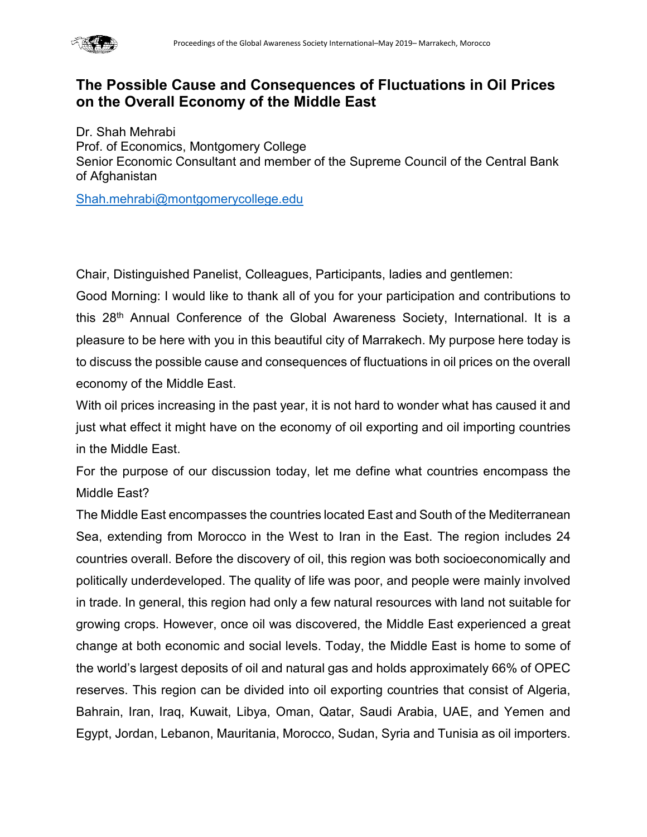

# **The Possible Cause and Consequences of Fluctuations in Oil Prices on the Overall Economy of the Middle East**

Dr. Shah Mehrabi Prof. of Economics, Montgomery College Senior Economic Consultant and member of the Supreme Council of the Central Bank of Afghanistan

[Shah.mehrabi@montgomerycollege.edu](mailto:Shah.mehrabi@montgomerycollege.edu)

Chair, Distinguished Panelist, Colleagues, Participants, ladies and gentlemen:

Good Morning: I would like to thank all of you for your participation and contributions to this 28<sup>th</sup> Annual Conference of the Global Awareness Society, International. It is a pleasure to be here with you in this beautiful city of Marrakech. My purpose here today is to discuss the possible cause and consequences of fluctuations in oil prices on the overall economy of the Middle East.

With oil prices increasing in the past year, it is not hard to wonder what has caused it and just what effect it might have on the economy of oil exporting and oil importing countries in the Middle East.

For the purpose of our discussion today, let me define what countries encompass the Middle East?

The Middle East encompasses the countries located East and South of the Mediterranean Sea, extending from Morocco in the West to Iran in the East. The region includes 24 countries overall. Before the discovery of oil, this region was both socioeconomically and politically underdeveloped. The quality of life was poor, and people were mainly involved in trade. In general, this region had only a few natural resources with land not suitable for growing crops. However, once oil was discovered, the Middle East experienced a great change at both economic and social levels. Today, the Middle East is home to some of the world's largest deposits of oil and natural gas and holds approximately 66% of OPEC reserves. This region can be divided into oil exporting countries that consist of Algeria, Bahrain, Iran, Iraq, Kuwait, Libya, Oman, Qatar, Saudi Arabia, UAE, and Yemen and Egypt, Jordan, Lebanon, Mauritania, Morocco, Sudan, Syria and Tunisia as oil importers.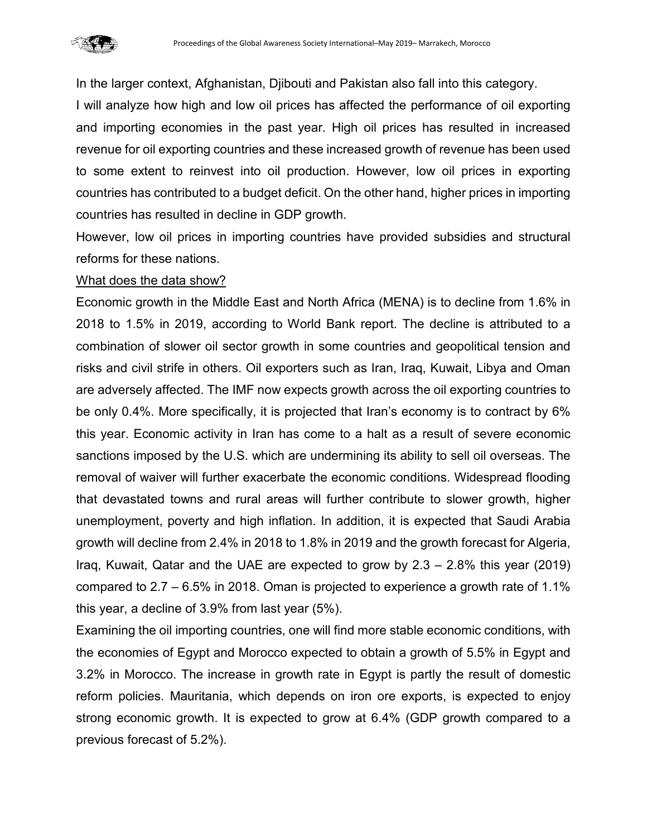

In the larger context, Afghanistan, Djibouti and Pakistan also fall into this category.

I will analyze how high and low oil prices has affected the performance of oil exporting and importing economies in the past year. High oil prices has resulted in increased revenue for oil exporting countries and these increased growth of revenue has been used to some extent to reinvest into oil production. However, low oil prices in exporting countries has contributed to a budget deficit. On the other hand, higher prices in importing countries has resulted in decline in GDP growth.

However, low oil prices in importing countries have provided subsidies and structural reforms for these nations.

#### What does the data show?

Economic growth in the Middle East and North Africa (MENA) is to decline from 1.6% in 2018 to 1.5% in 2019, according to World Bank report. The decline is attributed to a combination of slower oil sector growth in some countries and geopolitical tension and risks and civil strife in others. Oil exporters such as Iran, Iraq, Kuwait, Libya and Oman are adversely affected. The IMF now expects growth across the oil exporting countries to be only 0.4%. More specifically, it is projected that Iran's economy is to contract by 6% this year. Economic activity in Iran has come to a halt as a result of severe economic sanctions imposed by the U.S. which are undermining its ability to sell oil overseas. The removal of waiver will further exacerbate the economic conditions. Widespread flooding that devastated towns and rural areas will further contribute to slower growth, higher unemployment, poverty and high inflation. In addition, it is expected that Saudi Arabia growth will decline from 2.4% in 2018 to 1.8% in 2019 and the growth forecast for Algeria, Iraq, Kuwait, Qatar and the UAE are expected to grow by 2.3 – 2.8% this year (2019) compared to 2.7 – 6.5% in 2018. Oman is projected to experience a growth rate of 1.1% this year, a decline of 3.9% from last year (5%).

Examining the oil importing countries, one will find more stable economic conditions, with the economies of Egypt and Morocco expected to obtain a growth of 5.5% in Egypt and 3.2% in Morocco. The increase in growth rate in Egypt is partly the result of domestic reform policies. Mauritania, which depends on iron ore exports, is expected to enjoy strong economic growth. It is expected to grow at 6.4% (GDP growth compared to a previous forecast of 5.2%).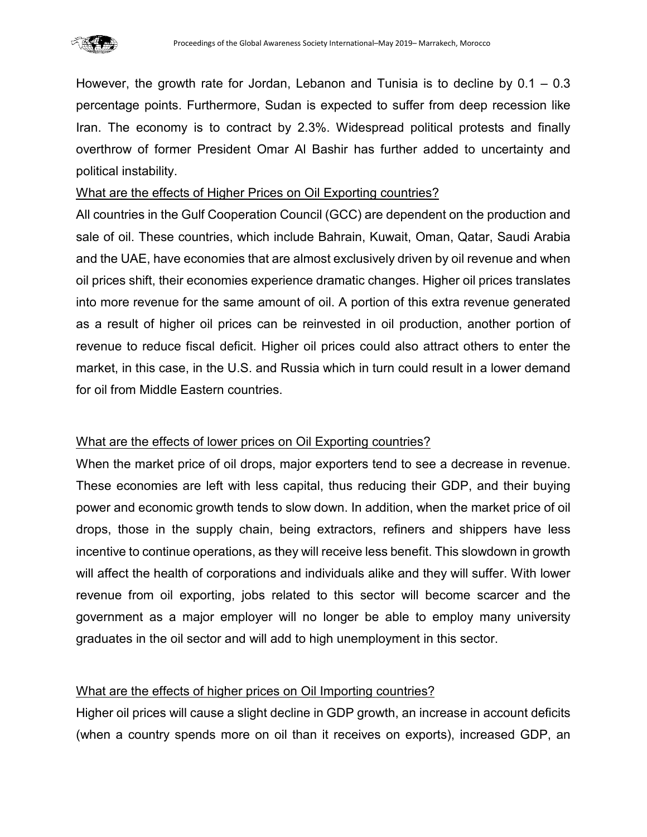

However, the growth rate for Jordan, Lebanon and Tunisia is to decline by  $0.1 - 0.3$ percentage points. Furthermore, Sudan is expected to suffer from deep recession like Iran. The economy is to contract by 2.3%. Widespread political protests and finally overthrow of former President Omar Al Bashir has further added to uncertainty and political instability.

#### What are the effects of Higher Prices on Oil Exporting countries?

All countries in the Gulf Cooperation Council (GCC) are dependent on the production and sale of oil. These countries, which include Bahrain, Kuwait, Oman, Qatar, Saudi Arabia and the UAE, have economies that are almost exclusively driven by oil revenue and when oil prices shift, their economies experience dramatic changes. Higher oil prices translates into more revenue for the same amount of oil. A portion of this extra revenue generated as a result of higher oil prices can be reinvested in oil production, another portion of revenue to reduce fiscal deficit. Higher oil prices could also attract others to enter the market, in this case, in the U.S. and Russia which in turn could result in a lower demand for oil from Middle Eastern countries.

## What are the effects of lower prices on Oil Exporting countries?

When the market price of oil drops, major exporters tend to see a decrease in revenue. These economies are left with less capital, thus reducing their GDP, and their buying power and economic growth tends to slow down. In addition, when the market price of oil drops, those in the supply chain, being extractors, refiners and shippers have less incentive to continue operations, as they will receive less benefit. This slowdown in growth will affect the health of corporations and individuals alike and they will suffer. With lower revenue from oil exporting, jobs related to this sector will become scarcer and the government as a major employer will no longer be able to employ many university graduates in the oil sector and will add to high unemployment in this sector.

## What are the effects of higher prices on Oil Importing countries?

Higher oil prices will cause a slight decline in GDP growth, an increase in account deficits (when a country spends more on oil than it receives on exports), increased GDP, an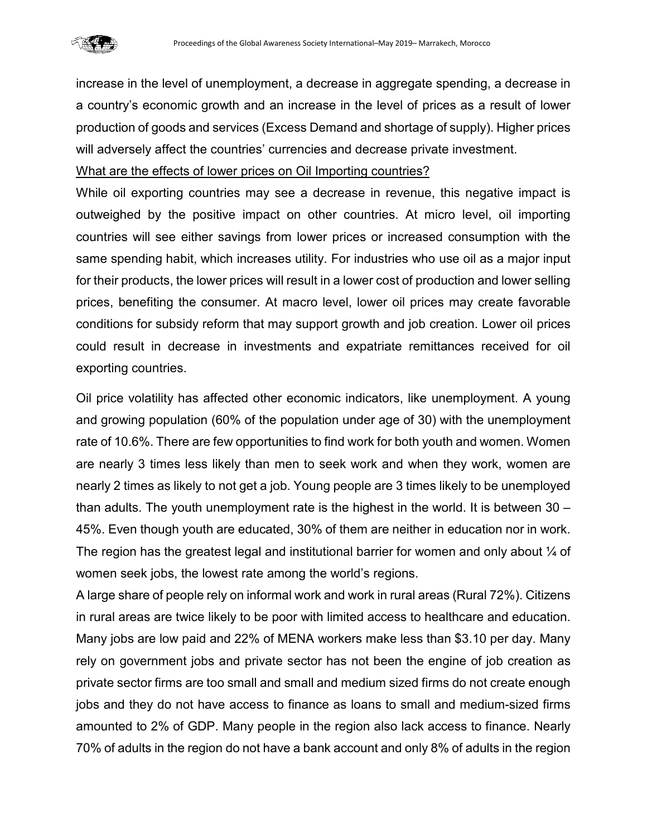

increase in the level of unemployment, a decrease in aggregate spending, a decrease in a country's economic growth and an increase in the level of prices as a result of lower production of goods and services (Excess Demand and shortage of supply). Higher prices will adversely affect the countries' currencies and decrease private investment.

What are the effects of lower prices on Oil Importing countries?

While oil exporting countries may see a decrease in revenue, this negative impact is outweighed by the positive impact on other countries. At micro level, oil importing countries will see either savings from lower prices or increased consumption with the same spending habit, which increases utility. For industries who use oil as a major input for their products, the lower prices will result in a lower cost of production and lower selling prices, benefiting the consumer. At macro level, lower oil prices may create favorable conditions for subsidy reform that may support growth and job creation. Lower oil prices could result in decrease in investments and expatriate remittances received for oil exporting countries.

Oil price volatility has affected other economic indicators, like unemployment. A young and growing population (60% of the population under age of 30) with the unemployment rate of 10.6%. There are few opportunities to find work for both youth and women. Women are nearly 3 times less likely than men to seek work and when they work, women are nearly 2 times as likely to not get a job. Young people are 3 times likely to be unemployed than adults. The youth unemployment rate is the highest in the world. It is between 30 – 45%. Even though youth are educated, 30% of them are neither in education nor in work. The region has the greatest legal and institutional barrier for women and only about  $\frac{1}{4}$  of women seek jobs, the lowest rate among the world's regions.

A large share of people rely on informal work and work in rural areas (Rural 72%). Citizens in rural areas are twice likely to be poor with limited access to healthcare and education. Many jobs are low paid and 22% of MENA workers make less than \$3.10 per day. Many rely on government jobs and private sector has not been the engine of job creation as private sector firms are too small and small and medium sized firms do not create enough jobs and they do not have access to finance as loans to small and medium-sized firms amounted to 2% of GDP. Many people in the region also lack access to finance. Nearly 70% of adults in the region do not have a bank account and only 8% of adults in the region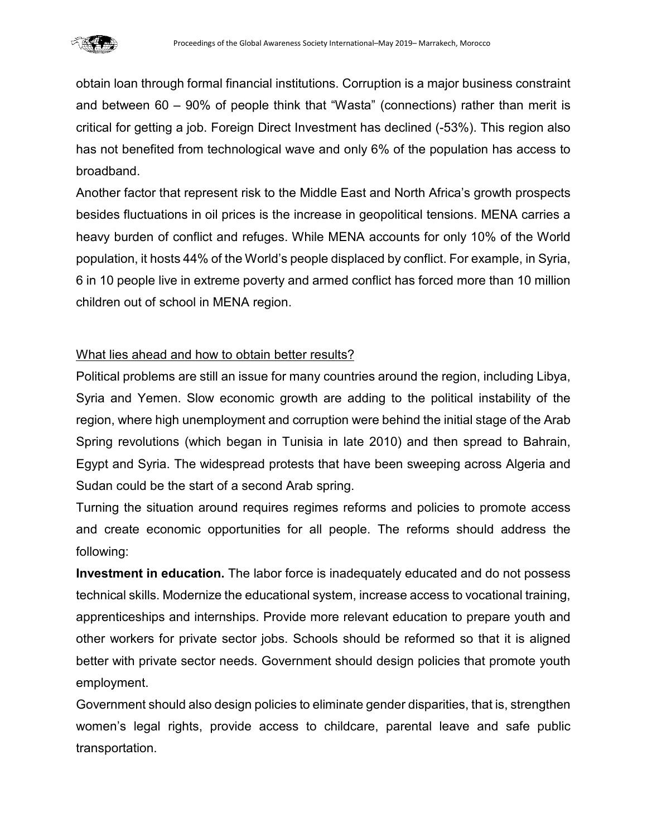

obtain loan through formal financial institutions. Corruption is a major business constraint and between 60 – 90% of people think that "Wasta" (connections) rather than merit is critical for getting a job. Foreign Direct Investment has declined (-53%). This region also has not benefited from technological wave and only 6% of the population has access to broadband.

Another factor that represent risk to the Middle East and North Africa's growth prospects besides fluctuations in oil prices is the increase in geopolitical tensions. MENA carries a heavy burden of conflict and refuges. While MENA accounts for only 10% of the World population, it hosts 44% of the World's people displaced by conflict. For example, in Syria, 6 in 10 people live in extreme poverty and armed conflict has forced more than 10 million children out of school in MENA region.

## What lies ahead and how to obtain better results?

Political problems are still an issue for many countries around the region, including Libya, Syria and Yemen. Slow economic growth are adding to the political instability of the region, where high unemployment and corruption were behind the initial stage of the Arab Spring revolutions (which began in Tunisia in late 2010) and then spread to Bahrain, Egypt and Syria. The widespread protests that have been sweeping across Algeria and Sudan could be the start of a second Arab spring.

Turning the situation around requires regimes reforms and policies to promote access and create economic opportunities for all people. The reforms should address the following:

**Investment in education.** The labor force is inadequately educated and do not possess technical skills. Modernize the educational system, increase access to vocational training, apprenticeships and internships. Provide more relevant education to prepare youth and other workers for private sector jobs. Schools should be reformed so that it is aligned better with private sector needs. Government should design policies that promote youth employment.

Government should also design policies to eliminate gender disparities, that is, strengthen women's legal rights, provide access to childcare, parental leave and safe public transportation.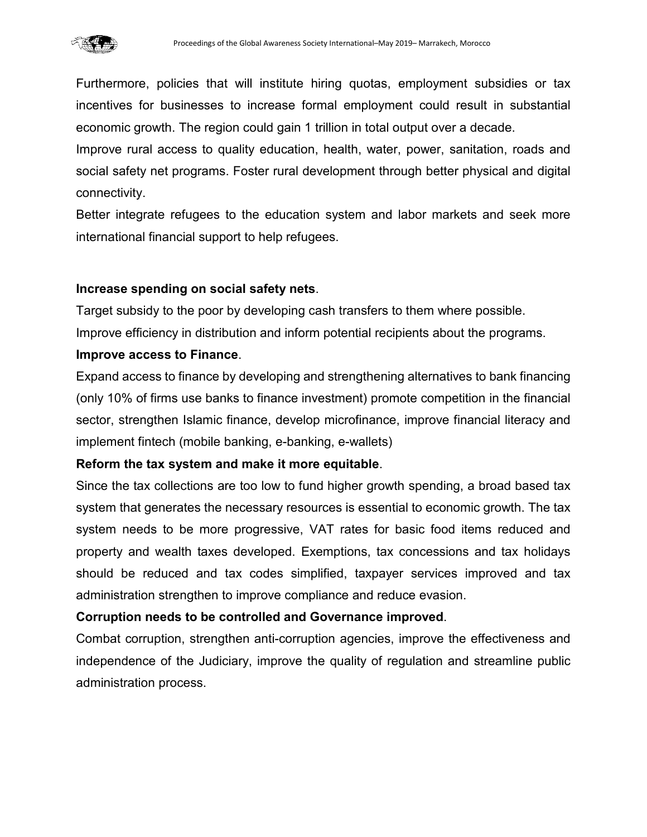

Furthermore, policies that will institute hiring quotas, employment subsidies or tax incentives for businesses to increase formal employment could result in substantial economic growth. The region could gain 1 trillion in total output over a decade.

Improve rural access to quality education, health, water, power, sanitation, roads and social safety net programs. Foster rural development through better physical and digital connectivity.

Better integrate refugees to the education system and labor markets and seek more international financial support to help refugees.

## **Increase spending on social safety nets**.

Target subsidy to the poor by developing cash transfers to them where possible. Improve efficiency in distribution and inform potential recipients about the programs.

#### **Improve access to Finance**.

Expand access to finance by developing and strengthening alternatives to bank financing (only 10% of firms use banks to finance investment) promote competition in the financial sector, strengthen Islamic finance, develop microfinance, improve financial literacy and implement fintech (mobile banking, e-banking, e-wallets)

## **Reform the tax system and make it more equitable**.

Since the tax collections are too low to fund higher growth spending, a broad based tax system that generates the necessary resources is essential to economic growth. The tax system needs to be more progressive, VAT rates for basic food items reduced and property and wealth taxes developed. Exemptions, tax concessions and tax holidays should be reduced and tax codes simplified, taxpayer services improved and tax administration strengthen to improve compliance and reduce evasion.

## **Corruption needs to be controlled and Governance improved**.

Combat corruption, strengthen anti-corruption agencies, improve the effectiveness and independence of the Judiciary, improve the quality of regulation and streamline public administration process.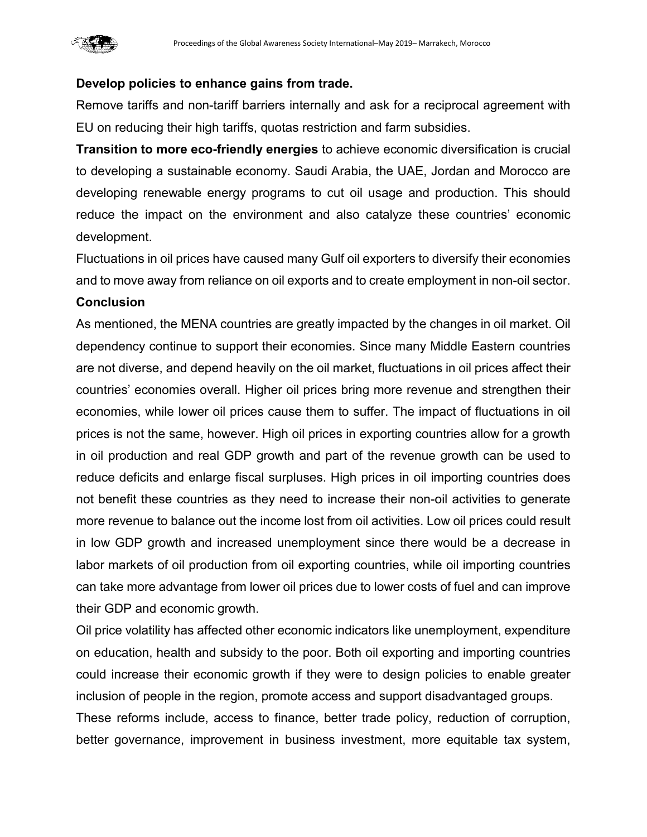

#### **Develop policies to enhance gains from trade.**

Remove tariffs and non-tariff barriers internally and ask for a reciprocal agreement with EU on reducing their high tariffs, quotas restriction and farm subsidies.

**Transition to more eco-friendly energies** to achieve economic diversification is crucial to developing a sustainable economy. Saudi Arabia, the UAE, Jordan and Morocco are developing renewable energy programs to cut oil usage and production. This should reduce the impact on the environment and also catalyze these countries' economic development.

Fluctuations in oil prices have caused many Gulf oil exporters to diversify their economies and to move away from reliance on oil exports and to create employment in non-oil sector.

#### **Conclusion**

As mentioned, the MENA countries are greatly impacted by the changes in oil market. Oil dependency continue to support their economies. Since many Middle Eastern countries are not diverse, and depend heavily on the oil market, fluctuations in oil prices affect their countries' economies overall. Higher oil prices bring more revenue and strengthen their economies, while lower oil prices cause them to suffer. The impact of fluctuations in oil prices is not the same, however. High oil prices in exporting countries allow for a growth in oil production and real GDP growth and part of the revenue growth can be used to reduce deficits and enlarge fiscal surpluses. High prices in oil importing countries does not benefit these countries as they need to increase their non-oil activities to generate more revenue to balance out the income lost from oil activities. Low oil prices could result in low GDP growth and increased unemployment since there would be a decrease in labor markets of oil production from oil exporting countries, while oil importing countries can take more advantage from lower oil prices due to lower costs of fuel and can improve their GDP and economic growth.

Oil price volatility has affected other economic indicators like unemployment, expenditure on education, health and subsidy to the poor. Both oil exporting and importing countries could increase their economic growth if they were to design policies to enable greater inclusion of people in the region, promote access and support disadvantaged groups. These reforms include, access to finance, better trade policy, reduction of corruption, better governance, improvement in business investment, more equitable tax system,